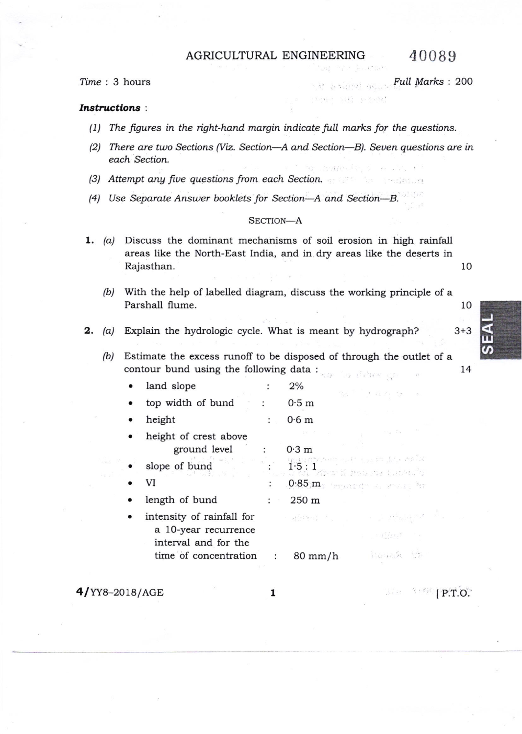## AGRICULTURAL ENGINEERING 40089

 $\{ \lambda_1, \lambda_2, \lambda_3, \ldots, \lambda_{\ell-1}, \lambda_{\ell} \} = \{ \lambda_1, \lambda_1, \lambda_2, \ldots, \lambda_{\ell-1} \}$ 

# Full Marks : 200

### Instructions:

- $(1)$  The figures in the right-hand margin indicate full marks for the questions.
- (2) There are two Sections (Viz. Section-A and Section-B). Seven questions are in each Section.
- (3) Attempt ang five questions from each Section.
- (4) Use Separate Answer booklets for Section-A and Section-B.

### SECTION-A

- 1. (a) Discuss the dominant mechanisms of soil erosion in high rainfall areas like the North-East India, and in dry areas like the deserts in Rajasthan. local and the contract of the contract of the contract of the contract of the contract of the contract of the contract of the contract of the contract of the contract of the contract of the contract of the contr
	- $(b)$  With the help of labelled diagram, discuss the working principle of a Parshall flume.
- **2.** (a) Explain the hydrologic cycle. What is meant by hydrograph?  $3+3$ 
	- (b) Estimate the excess runoff to be disposed of through the outlet of a contour bund using the following data :

| land slope                |                                                                                             | 2%                                                                           |                                                                                                                                                  |
|---------------------------|---------------------------------------------------------------------------------------------|------------------------------------------------------------------------------|--------------------------------------------------------------------------------------------------------------------------------------------------|
| top width of bund         |                                                                                             | $0.5$ m                                                                      | 他に <sup>下</sup> → 兵 的 他                                                                                                                          |
| height                    | $\mathbf{L}$                                                                                | 0.6 <sub>m</sub>                                                             |                                                                                                                                                  |
| height of crest above     |                                                                                             |                                                                              |                                                                                                                                                  |
| ground level              |                                                                                             | $0.3$ m                                                                      |                                                                                                                                                  |
| slope of bund             |                                                                                             |                                                                              |                                                                                                                                                  |
| VI                        |                                                                                             | , $0.85\,$ m $_{\rm 5}$ , the constitution of the constant $\lambda_{\rm 0}$ |                                                                                                                                                  |
| length of bund            |                                                                                             | 250 m                                                                        |                                                                                                                                                  |
| intensity of rainfall for |                                                                                             |                                                                              | $\alpha = 1 - 2.1$ , and $\beta = 10^{-2}$                                                                                                       |
|                           |                                                                                             |                                                                              | and President                                                                                                                                    |
| time of concentration     |                                                                                             | $80 \text{ mm/h}$                                                            | Pouche SP                                                                                                                                        |
|                           | $-2\pi i\frac{1}{2}$ , $-2\pi i\frac{1}{2}$<br>a 10-year recurrence<br>interval and for the |                                                                              | $\mathbf{1}^{\mathcal{L}} = \mathbf{1} \cdot \mathbf{5} \cdot \mathbf{1}$<br>The first March reserve there is<br>and the common committee of the |

 $4$ /YY8-2018/AGE

lP:T.O.'

10 J<br>J

> UJ  $\boldsymbol{q}$

14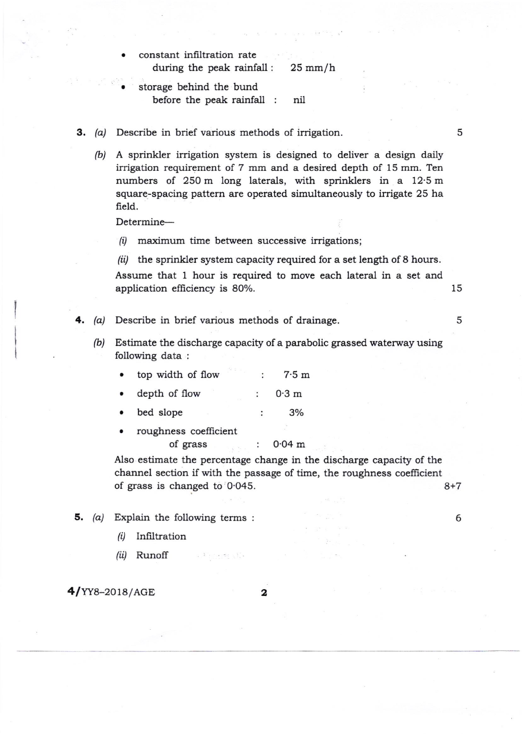#### constant infiltration rate during the peak rainfall : 25 mm/h

- storage behind the bund before the peak rainfall nil
- 3. (a) Describe in brief various methods of irrigation.
	- (b) A sprinkler irrigation system is designed to deliver a design daily irrigation requirement of 7 mm and a desired depth of 15 mm. Ten numbers of 250 m long laterals, with sprinklers in a 12'5 m square-spacing pattern are operated simultaneously to irrigate 25 ha field.

Determine-

 $(i)$  maximum time between successive irrigations;

(ii) the sprinkler system capacity required for a set length of 8 hours. Assume that 1 hour is required to move each lateral in a set and application efficiency is 8O%. i5

- $(a)$  Describe in brief various methods of drainage.
	- (b) Estimate the discharge capacity of a parabolic grassed waterway using following data :
		- top width of flow : 7.5 m
		- depth of flow :  $0.3 \text{ m}$
		- bed slope : 3%
		- roughness coefficient

of grass : 0'04 m

 $\sim 3$  maps  $\chi V_{\rm c}$ 

Also estimate the percentage change in the discharge capacity of the channel section if with the passage of time, the roughness coefficient of grass is changed to  $0.045$ . 8+7

**5.** (a) Explain the following terms :

 $(i)$  Infiltration

(ii) Runoff

4/YY8-2018/AGE

2

5

5

6